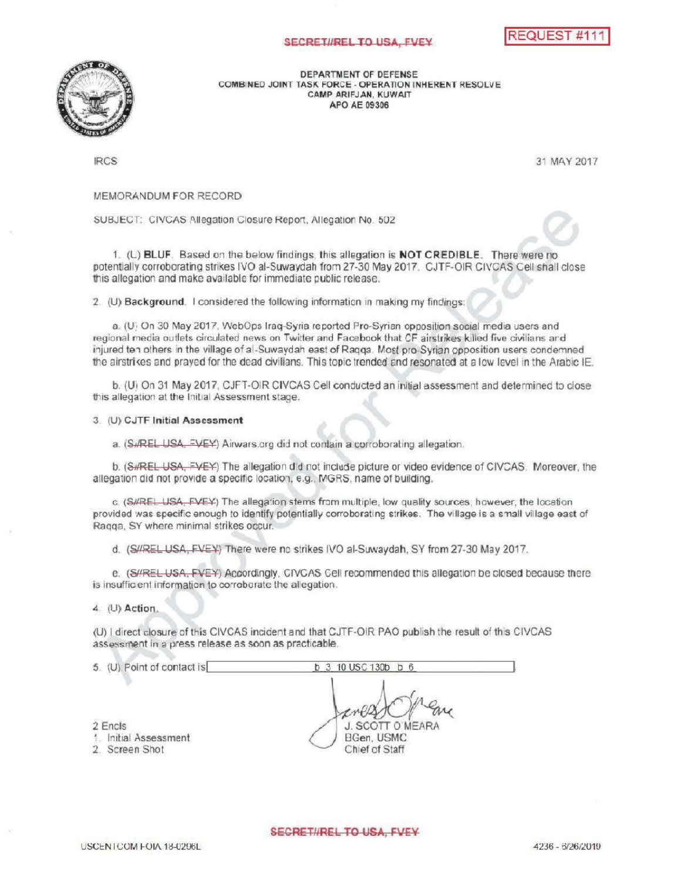## SECRETI/REL TO USA, FVEY





DEPARTMENT OF DEFENSE COMBINED JOINT TASK FORCE - OPERATION INHERENT RESOLVE CAMPARIFJAN, KUWAIT APO AE 09306

IRCS 31 MAY 2017

## MEMORANDUM FOR RECORD

SUBJECT: CIVCAS Allegation Closure Report, Allegation No. 502

UT, CIVCAS Allegation Closule Report, Allegation is 0. 502<br>(L) BLUF. Based on the below findings, this allegation is NOT CREDIBLE. There were no<br>ellistic this addition is to all financial from 27,200 Martin 2017. CLIF CLIF potentially corroborating strikes IVO al-Suwaydah from 27-30 May 2017. CJTF-OIR CIVCAS Cell shall close this allegation and make available for immediate public release.

2. (U) Background. I considered the following information in making my findings

a. (U) On 30 May 2017, WebOps Iraq-Syria reported Pro-Syrian opposition social media users and regional media outlets circulated news on Twitter and Facebook that CF airstrikes killed five civilians and injured ten others in the village of al-Suwaydah east of Raqqa. Most pro-Syrian opposition users condemned the airstrikes and prayed for the dead civilians. This topic trended and resonated at a low level in the Arabic IE.

b. (U) On 31 May 2017, CJFT-OIR CIVCAS Cell conducted an initial assessment and determined to close this allegation at the Initial Assessment stage.

3. (U) CJTF Initial Assessment

a. (SuREL USA, EVEY) Airwars.org did not contain a corroborating allegation.

b. (S#REL USA, FVEY) The allegation did not include picture or video evidence of CIVCAS. Moreover, the allegation did not provide a specific location, e.g., MGRS, name of building.

c. (S#REL USA, FVEY) The allegation stems from multiple, low quality sources; however, the location provided was specific enough to identify potentially corroborating strikes The village is a small village east of Raqqa, SY where minimal strikes occur.

d. (S//REL USA, EVEY) There were no strikes IVO al-Suwaydah, SY from 27-30 May 2017.

e. (S#REL USA, FVEY) Accordingly, CIVCAS Cell recommended this allegation be closed because there is insufficient information to corroborate the allegation.

 $4.$  (U) Action.

(U) I direct closure of this CIVCAS incident and that CJTF-OIR PAO publish the result of this CIVCAS assessment in a press release as soon as practicable.

| J. SCOTT O'MEARA |
|------------------|
| BGen, USMC       |
| Chief of Staff   |
|                  |